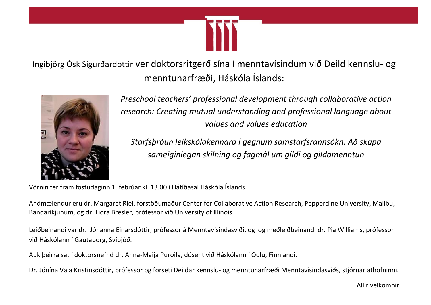

Ingibjörg Ósk Sigurðardóttir ver doktorsritgerð sína í menntavísindum við Deild kennslu- og menntunarfræði, Háskóla Íslands:



*Preschool teachers' professional development through collaborative action research: Creating mutual understanding and professional language about values and values education*

*Starfsþróun leikskólakennara í gegnum samstarfsrannsókn: Að skapa sameiginlegan skilning og fagmál um gildi og gildamenntun*

Vörnin fer fram föstudaginn 1. febrúar kl. 13.00 í Hátíðasal Háskóla Íslands.

Andmælendur eru dr. Margaret Riel, forstöðumaður Center for Collaborative Action Research, Pepperdine University, Malibu, Bandaríkjunum, og dr. Liora Bresler, prófessor við University of Illinois.

Leiðbeinandi var dr. Jóhanna Einarsdóttir, prófessor á Menntavísindasviði, og og meðleiðbeinandi dr. Pia Williams, prófessor við Háskólann í Gautaborg, Svíþjóð.

Auk þeirra sat í doktorsnefnd dr. Anna-Maija Puroila, dósent við Háskólann í Oulu, Finnlandi.

Dr. Jónína Vala Kristinsdóttir, prófessor og forseti Deildar kennslu- og menntunarfræði Menntavísindasviðs, stjórnar athöfninni.

Allir velkomnir